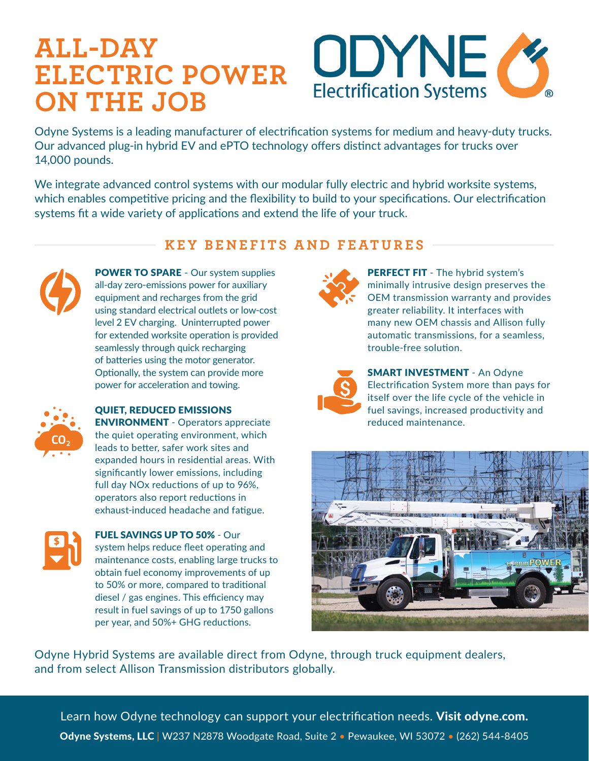## **ALL-DAY ELECTRIC POWER ON THE JOB**



Odyne Systems is a leading manufacturer of electrification systems for medium and heavy-duty trucks. Our advanced plug-in hybrid EV and ePTO technology offers distinct advantages for trucks over 14,000 pounds.

We integrate advanced control systems with our modular fully electric and hybrid worksite systems, which enables competitive pricing and the flexibility to build to your specifications. Our electrification systems fit a wide variety of applications and extend the life of your truck.

### **KEY BENEFITS AND FEATURES**



POWER TO SPARE - Our system supplies all-day zero-emissions power for auxiliary equipment and recharges from the grid using standard electrical outlets or low-cost level 2 EV charging. Uninterrupted power for extended worksite operation is provided seamlessly through quick recharging of batteries using the motor generator. Optionally, the system can provide more power for acceleration and towing.



#### QUIET, REDUCED EMISSIONS

ENVIRONMENT - Operators appreciate the quiet operating environment, which leads to better, safer work sites and expanded hours in residential areas. With significantly lower emissions, including full day NOx reductions of up to 96%, operators also report reductions in exhaust-induced headache and fatigue.



 FUEL SAVINGS UP TO 50% - Our system helps reduce fleet operating and maintenance costs, enabling large trucks to obtain fuel economy improvements of up to 50% or more, compared to traditional diesel / gas engines. This efficiency may result in fuel savings of up to 1750 gallons per year, and 50%+ GHG reductions.



PERFECT FIT - The hybrid system's minimally intrusive design preserves the OEM transmission warranty and provides greater reliability. It interfaces with many new OEM chassis and Allison fully automatic transmissions, for a seamless, trouble-free solution.



**SMART INVESTMENT** - An Odvne Electrification System more than pays for itself over the life cycle of the vehicle in fuel savings, increased productivity and reduced maintenance.



Odyne Hybrid Systems are available direct from Odyne, through truck equipment dealers, and from select Allison Transmission distributors globally.

Learn how Odyne technology can support your electrification needs. [Visit odyne.com.](http://www.odyne.com) Odyne Systems, LLC | W237 N2878 Woodgate Road, Suite 2 · Pewaukee, WI 53072 · (262) 544-8405